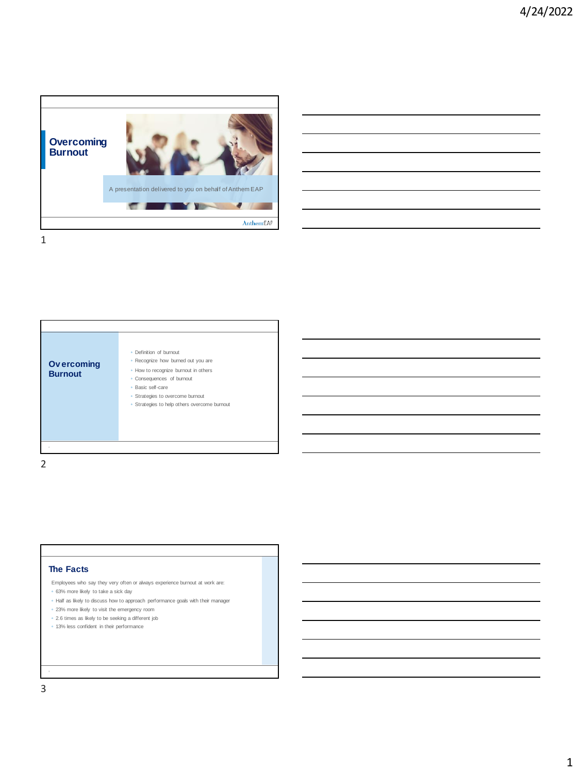

|  | ____                              |
|--|-----------------------------------|
|  |                                   |
|  |                                   |
|  |                                   |
|  |                                   |
|  |                                   |
|  |                                   |
|  | _____                             |
|  |                                   |
|  |                                   |
|  |                                   |
|  |                                   |
|  |                                   |
|  | and the control of the control of |
|  |                                   |
|  |                                   |
|  |                                   |
|  |                                   |



2

## **The Facts**

- Employees who say they very often or always experience burnout at work are:
- 63% more likely to take a sick day
- Half as likely to discuss how to approach performance goals with their manager
- 23% more likely to visit the emergency room
- 2.6 times as likely to be seeking a different job
- 13% less confident in their performance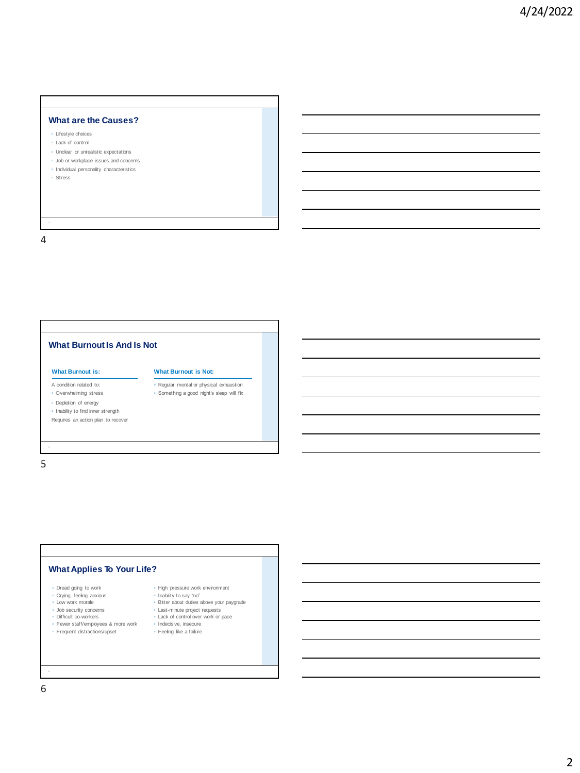# **What are the Causes?**

- Lifestyle choices
- Lack of control
- Unclear or unrealistic expectations
- Job or workplace issues and concerns ◦ Individual personality characteristics
- 
- Stress

4





6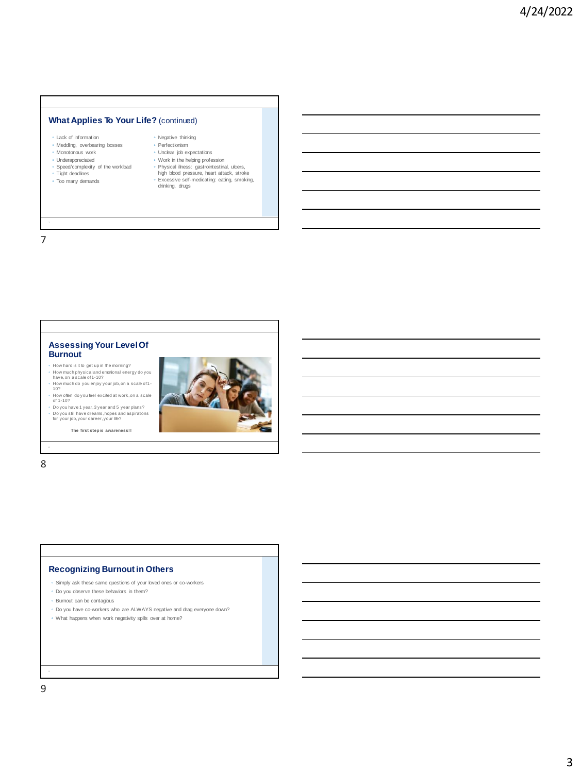## **What Applies To Your Life?** (continued)

|  | . Lack of information |
|--|-----------------------|
|  |                       |

- Meddling, overbearing bosses Monotonous work
- Underappreciated
- 
- Speed/complexity of the workload Tight deadlines
- Too many demands
- Negative thinking ◦ Perfectionism
- Unclear job expectations
- Work in the helping profession
- Physical illness: gastrointestinal, ulcers, high blood pressure, heart attack, stroke
- Excessive self-medicating: eating, smoking, drinking, drugs

7



## **Recognizing Burnout in Others**

- Simply ask these same questions of your loved ones or co-workers
- Do you observe these behaviors in them?
- Burnout can be contagious
- Do you have co-workers who are ALWAYS negative and drag everyone down?
- What happens when work negativity spills over at home?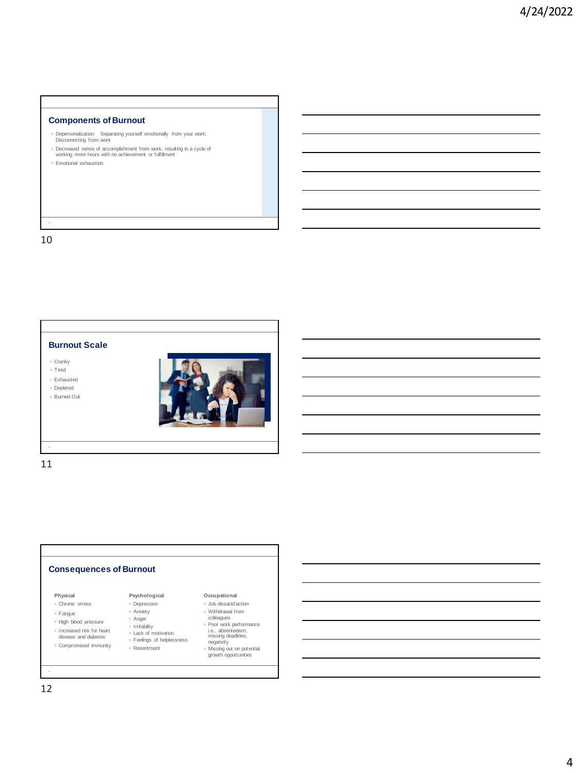# **Components of Burnout**

- Depersonalization: Separating yourself emotionally from your work; Disconnecting from work
- Decreased sense of accomplishment from work, resulting in a cycle of working more hours with no achievement or fulfillment
- Emotional exhaustion

10

## **Burnout Scale**

◦ Cranky

◦ Tired

◦ Exhausted ◦ Depleted

◦ Burned Out



11

#### **Consequences of Burnout Occupational** ◦ Job dissatisfaction ◦ Withdrawal from colleagues ◦ Poor work performance i.e., absenteeism, missing deadlines, negativity ◦ Missing out on potential growth opportunities **Psychological** ◦ Depression ◦ Anxiety ◦ Anger ◦ Irritability ◦ Lack of motivation ◦ Feelings of helplessness ◦ Resentment **Physical** ◦ Chronic stress ◦ Fatigue ◦ High blood pressure ◦ Increased risk for heart disease and diabetes ◦ Compromised immunity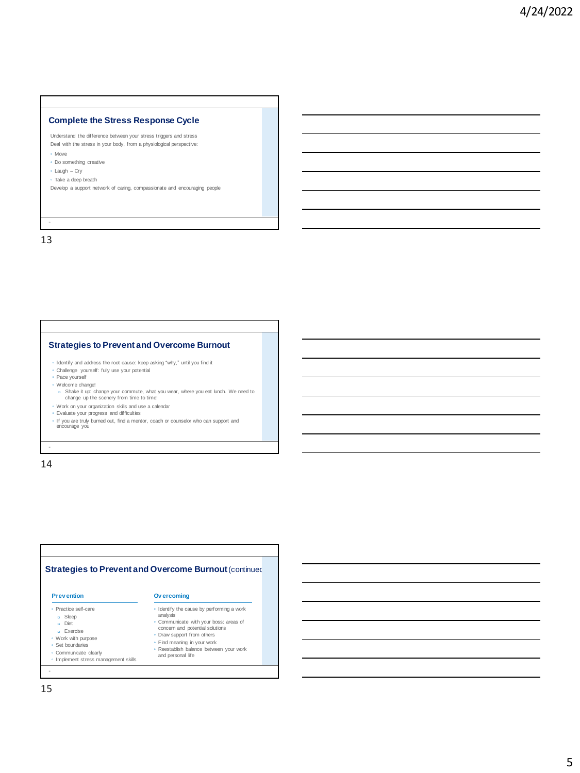## **Complete the Stress Response Cycle**

Understand the difference between your stress triggers and stress Deal with the stress in your body, from a physiological perspective: ◦ Move

◦ Do something creative ◦ Laugh – Cry

◦ Take a deep breath

Develop a support network of caring, compassionate and encouraging people

13

## **Strategies to Prevent and Overcome Burnout**

- Identify and address the root cause: keep asking "why," until you find it
- Challenge yourself: fully use your potential
- Pace yourself ◦ Welcome change!
	- ❑ Shake it up: change your commute, what you wear, where you eat lunch. We need to change up the scenery from time to time!
- Work on your organization skills and use a calendar
- 
- Evaluate your progress and difficulties<br>◦ If you are truly burned out, find a mentor, coach or counselor who can support and<br>▪ encourage you

14

#### **Strategies to Prevent and Overcome Burnout (continued)** ◦ Practice self-care ❑ Sleep ❑ Diet ❑ Exercise ◦ Work with purpose ◦ Set boundaries ◦ Communicate clearly ◦ Implement stress management skills **Prev ention Ov ercoming** ◦ Identify the cause by performing a work analysis ◦ Communicate with your boss: areas of concern and potential solutions ◦ Draw support from others ◦ Find meaning in your work ◦ Reestablish balance between your work and personal life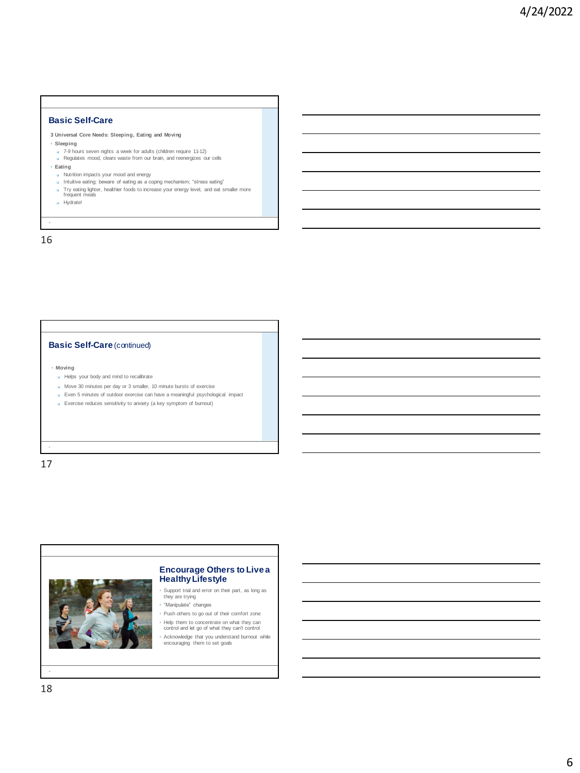## **Basic Self-Care**

## **3 Universal Core Needs: Sleeping, Eating and Moving**

### ◦ **Sleeping**

- ❑ 7-9 hours seven nights a week for adults (children require 11-12) ❑ Regulates mood, clears waste from our brain, and reenergizes our cells
- 
- **Eating**
	- ❑ Nutrition impacts your mood and energy
	-
	- ❑ Intuitive eating: beware of eating as a coping mechanism; "stress eating" ❑ Try eating lighter, healthier foods to increase your energy level, and eat smaller more frequent meals
	- ❑ Hydrate!

16

## **Basic Self-Care** (continued)

#### ◦ **Moving**

- ❑ Helps your body and mind to recalibrate
- ❑ Move 30 minutes per day or 3 smaller, 10 minute bursts of exercise
- ❑ Even 5 minutes of outdoor exercise can have a meaningful psychological impact
- ❑ Exercise reduces sensitivity to anxiety (a key symptom of burnout)

17



## **Encourage Others to Live a Healthy Lifestyle**

- Support trial and error on their part, as long as they are trying
- "Manipulate" changes
- Push others to go out of their comfort zone ◦ Help them to concentrate on what they can
- control and let go of what they can't control
- Acknowledge that you understand burnout while encouraging them to set goals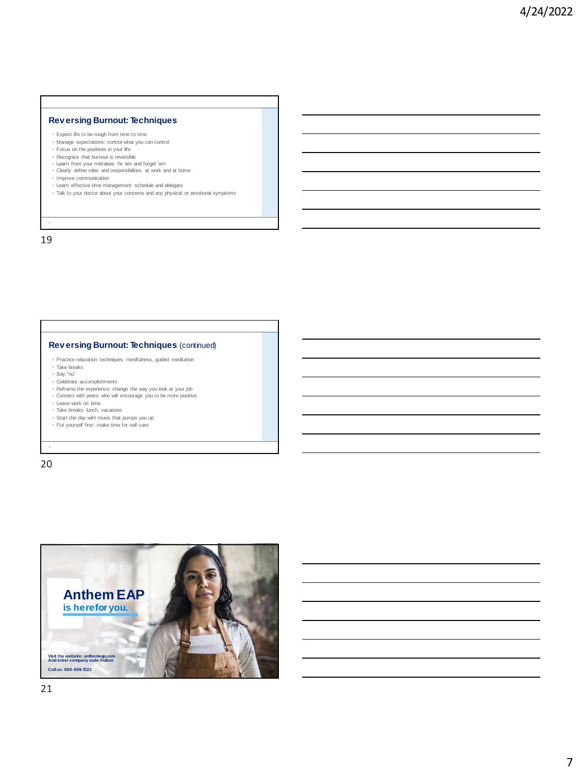## **Rev ersing Burnout: Techniques**

- Expect life to be tough from time to time
- Manage expectations: control what you can control
- Focus on the positives in your life
- Recognize that burnout is reversible
- Learn from your mistakes: fix 'em and forget 'em Clearly define roles and responsibilities at work and at home
- Improve communication
- Learn effective time management: schedule and delegate
- Talk to your doctor about your concerns and any physical or emotional symptoms

19

## **Rev ersing Burnout: Techniques** (continued)

- Practice relaxation techniques: mindfulness, guided meditation
- Take breaks Say "no"
- 
- Celebrate accomplishments
- Reframe the experience; change the way you look at your job ◦ Connect with peers who will encourage you to be more positive
- Leave work on time
- Take breaks: lunch, vacations
- 
- Start the day with music that pumps you up Put yourself first: make time for self-care